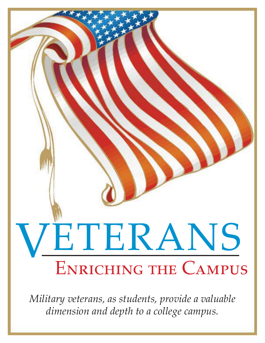

*Military veterans, as students, provide a valuable dimension and depth to a college campus.*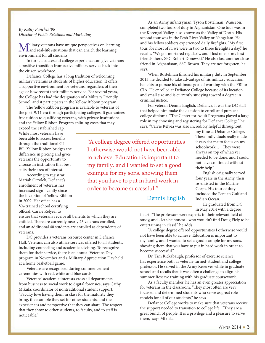#### By Kathy Punches '96 Director of Public Relations and Marketing

ilitary veterans have unique perspectives on learning and real-life situations that can enrich the learning environment for all students.

In turn, a successful college experience can give veterans a positive transition from active military service back into the citizen workforce.

Defiance College has a long tradition of welcoming military veterans as students of higher education. It offers a supportive environment for veterans, regardless of their age or how recent their military service. For several years, the College has had the designation of a Military Friendly School, and it participates in the Yellow Ribbon program.

The Yellow Ribbon program is available to veterans of the post-9/11 era through participating colleges. It guarantees free tuition to qualifying veterans, with private institutions and the Yellow Ribbon Program splitting costs that may

exceed the established cap. While most veterans have been able to access benefits through the traditional GI Bill, Yellow Ribbon bridges the difference in pricing and gives veterans the opportunity to choose an institution that best suits their area of interest.

According to registrar Mariah Orzolek, Defiance's enrollment of veterans has increased significantly since the inception of Yellow Ribbon in 2009. Her office has a VA-trained school certifying official, Carrie Relyea, to

ensure that veterans receive all benefits to which they are entitled. There are currently nearly 25 veterans enrolled, and an additional 40 students are enrolled as dependents of veterans.

DC provides a veterans resource center in Defiance Hall. Veterans can also utilize services offered to all students, including counseling and academic advising. To recognize them for their service, there is an annual Veterans Day program in November and a Military Appreciation Day held at a home basketball game.

Veterans are recognized during commencement ceremonies with red, white and blue cords.

Veterans' academic interests cross all departments, from business to social work to digital forensics, says Cathy Mikula, coordinator of nontraditional student support. "Faculty love having them in class for the maturity they bring, the example they set for other students, and the experiences and perspective that they can share. The respect that they show to other students, to faculty, and to staff is noticeable."

As an Army infantryman, Tyson Bostelman, Wauseon, completed two tours of duty in Afghanistan. One tour was in the Korengal Valley, also known as the Valley of Death. His second tour was in the Pesh River Valley or Nangalam. He and his fellow soldiers experienced daily firefights. "My first tour, for most of it, we were in two to three firefights a day," he recalls. "We got mortared regularly, and I lost one of my best friends there, SPC Robert Donevski." He also lost another close friend in Afghanistan, SSG Brown. They are not forgotten, he says.

When Bostelman finished his military duty in September 2013, he decided to take advantage of his military education benefits to pursue his ultimate goal of working with the FBI or CIA. He enrolled at Defiance College because of its location and small size and is currently studying toward a degree in criminal justice.

For veteran Dennis English, Defiance, it was the DC staff that helped him make the decision to enroll and pursue a college diploma. "The Center for Adult Programs played a large role in my choosing and registering for Defiance College," he says. "Carrie Relyea was also incredibly helpful throughout

"A college degree offered opportunities I otherwise would not have been able to achieve. Education is important to my family, and I wanted to set a good example for my sons, showing them that you have to put in hard work in order to become successful."

my time at Defiance College. These individuals really made it easy for me to focus on my schoolwork …. They were always on top of whatever needed to be done, and I could not have continued without their help."

English originally served four years in the Army, then re-enlisted in the Marine Corps. His tour of duty included the Persian Gulf and Indian Ocean.

Dennis English

He graduated from DC in May 2014 with a degree

in art. "The professors were experts in their relevant field of study, and - let's be honest - who wouldn't find Doug Fiely to be entertaining in class?" he adds.

"A college degree offered opportunities I otherwise would not have been able to achieve. Education is important to my family, and I wanted to set a good example for my sons, showing them that you have to put in hard work in order to become successful."

Dr. Tim Rickabaugh, professor of exercise science, has experience both as veteran-turned-student and college professor. He served in the Army Reserves while in graduate school and recalls that it was often a challenge to align his summer Reserve training with his graduate coursework.

As a faculty member, he has an even greater appreciation for veterans in the classroom. "They most often are very focused and determined students who serve as great role models for all of our students," he says.

Defiance College works to make sure that veterans receive the support needed to transition to college life. "They are a great bunch of people. It is a privilege and a pleasure to serve them," says Mikula.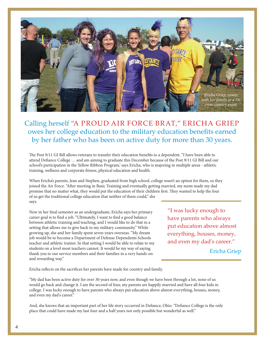

## Calling herself "A PROUD AIR FORCE BRAT," ERICHA GRIEP owes her college education to the military education benefits earned by her father who has been on active duty for more than 30 years.

The Post 9/11 GI Bill allows veterans to transfer their education benefits to a dependent. "I have been able to attend Defiance College … and am aiming to graduate this December because of the Post 9/11 GI Bill and our school's participation in the Yellow Ribbon Program,' says Ericha, who is majoring in multiple areas - athletic training, wellness and corporate fitness, physical education and health.

When Ericha's parents, Jean and Stephen, graduated from high school, college wasn't an option for them, so they joined the Air Force. "After meeting in Basic Training and eventually getting married, my mom made my dad promise that no matter what, they would put the education of their children first. They wanted to help the four of us get the traditional college education that neither of them could," she says.

Now in her final semester as an undergraduate, Ericha says her primary career goal is to find a job. "Ultimately, I want to find a good balance between athletic training and teaching, and I would like to do that in a setting that allows me to give back to my military community." While growing up, she and her family spent seven years overseas. "My dream job would be to become a Department of Defense Dependents Schools teacher and athletic trainer. In that setting I would be able to relate to my students on a level most teachers cannot. It would be my way of saying thank you to our service members and their families in a very hands-on and rewarding way."

"I was lucky enough to have parents who always put education above almost everything, houses, money, and even my dad's career."

**Ericha Griep** 

Ericha reflects on the sacrifices her parents have made for country and family.

"My dad has been active duty for over 30 years now, and even though we have been through a lot, none of us would go back and change it. I am the second of four, my parents are happily married and have all four kids in college. I was lucky enough to have parents who always put education above almost everything, houses, money, and even my dad's career."

And, she knows that an important part of her life story occurred in Defiance, Ohio. "Defiance College is the only place that could have made my last four and a half years not only possible but wonderful as well."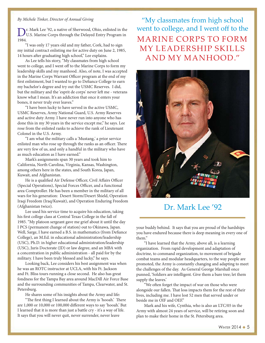#### By Michele Tinker, Director of Annual Giving

Dr. Mark Lee '92, a native of Sherwood, Ohio, enlisted in the U.S. Marine Corps through the Delayed Entry Program in 1984.

"I was only 17 years old and my father, Cork, had to sign my initial contract enlisting me for active duty on June 2, 1985, 14 hours after graduating high school," Lee explains.

As Lee tells his story, "My classmates from high school went to college, and I went off to the Marine Corps to form my leadership skills and my manhood. Also, of note, I was accepted in the Marine Corps Warrant Officer program at the end of my first enlistment, but I wanted to go to Defiance College to earn my bachelor's degree and try out the USMC Reserves. I did, but the military and the 'esprit de corps' never left me - veterans know what I mean. It's an addiction that once it enters your bones, it never truly ever leaves."

"I have been lucky to have served in the active USMC, USMC Reserves, Army National Guard, U.S. Army Reserves and active duty Army. I have never run into anyone who has done this in my 30 years in the service except me," he says. Lee rose from the enlisted ranks to achieve the rank of Lieutenant Colonel in the U.S. Army.

"I am what the military calls a 'Mustang,' a prior service enlisted man who rose up through the ranks as an officer. There are very few of us, and only a handful in the military who have as much education as I have earned."

Mark's assignments span 30 years and took him to California, North Carolina, Virginia, Kansas, Washington, among others here in the states, and South Korea, Japan, Kuwait, and Afghanistan.

He is a qualified Air Defense Officer, Civil Affairs Officer (Special Operations), Special Forces Officer, and a functional area Comptroller. He has been a member in the military of all wars for his generation: Desert Storm/Desert Shield, Operation Iraqi Freedom (Iraq/Kuwait), and Operation Enduring Freedom (Afghanistan twice).

Lee used his service time to acquire his education, taking his first college class at Central Texas College in the fall of 1985. "My platoon sergeant gave me grief about it until the day I PCS (permanent change of station) out to Okinawa, Japan. Well, Sarge, I have earned a B.S. in mathematics (from Defiance College), an M.Ed. in educational administration/leadership (USC), Ph.D. in higher educational administration/leadership (USC), Juris Doctorate (JD) or law degree, and an MBA with a concentration in public administration - all paid for by the military. I have been truly blessed and lucky," he says.

Looking back, Lee considers his best assignment was when he was an ROTC instructor at UCLA, with his Ft. Jackson and Ft. Bliss tours running a close second. He also has great fondness for the Tampa Bay area around MacDill Air Force Base and the surrounding communities of Tampa, Clearwater, and St. Petersburg.

He shares some of his insights about the Army and life:

"The first thing I learned about the Army is 'hooah.' There are 1,000 or 10,000 or 100,000 different ways to say 'hooah.' But I learned that it is more than just a battle cry - it's a way of life. It says that you will never quit, never surrender, never leave

"My classmates from high school went to college, and I went off to the **MARINE CORPS TO FORM** MY LEADERSHIP SKILLS AND MY MANHOOD."



## Dr. Mark Lee '92

your buddy behind. It says that you are proud of the hardships you have endured because there is deep meaning in every one of them."

"I have learned that the Army, above all, is a learning organization. From rapid development and adaptation of doctrine, to command organization, to movement of brigade combat teams and modular headquarters, to the way people are promoted, the Army is constantly changing and adapting to meet the challenges of the day. As General George Marshall once punned, 'Soldiers are intelligent. Give them a bare tree; let them supply the leaves.'

"We often forget the impact of war on those who were alongside our fallen. That loss impacts them for the rest of their lives, including me. I have lost 52 men that served under or beside me in OIF and OEF."

Mark and his wife, Cynthia, who is also an LTC/05 in the Army with almost 24 years of service, will be retiring soon and plan to make their home in the St. Petersburg area.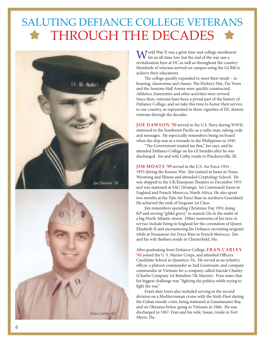# SALUTING DEFIANCE COLLEGE VETERANS THROUGH THE DECADES





Vorld War II was a grim time and college enrollment hit an all-time low, but the end of the war saw a revitalization here at DC as well as throughout the country. Hundreds of veterans arrived on campus using the GI Bill to achieve their educations.

The college quickly expanded to meet their needs – in housing, classrooms and classes. The Hickory Hut, Tin Town and the Sessions Hall Annex were quickly constructed. Athletics, fraternities and other activities were revived. Since then, veterans have been a proud part of the history of Defiance College, and we take this time to honor their service to our country, as represented in these vignettes of DC alumni veterans through the decades.

JOE DAWSON '50 served in the U.S. Navy during WWII, stationed in the Southwest Pacific as a radio man, taking code and messages. He especically remembers being on board when the ship was in a tornado in the Philippines in 1945.

"The Government treated me fine," Joe says, and he attended Defiance College on his GI benefits after he was discharged. Joe and wife Cathy reside in Pinckneyville, Ill.

JIM MOATS '59 served in the U.S. Air Force 1951- 1955 during the Korean War. Jim trained in bases in Texas, Wyoming and Illinois and attended Cryptology School. He was shipped to the UK/European Theaters in December 1951 and was stationed at SAC (Strategic Air Command) bases in England and French Morocco, North Africa. He also spent two months at the Tule Air Force Base in northern Greenland. He achieved the rank of Sergeant 1st Class.

Jim remembers spending Christmas Day 1951 doing KP and serving "giblet gravy" to seasick GIs in the midst of a big North Atlantic storm. Other memories of his time in service include being in England for the coronation of Queen Elizabeth II and encountering his Defiance recruiting sergeant while at Nouasseur Air Force Base in French Morocco. Jim and his wife Barbara reside in Chesterfield, Mo.

After graduating from Defiance College, FRAN CARLEY '61 joined the U. S. Marine Corps, and attended Officers Candidate School in Quantico, Va. He served as an infantry officer, a platoon commander as 2nd Lieutenant, and company commander in Vietnam for a company called Suicide Charley (Charlie Company 1st Battalion 7th Marine). Fran states that his biggest challenge was "fighting the politics while trying to fight the war."

Fran's duty tours also included serving in the second division on a Mediterranean cruise with the Sixth Fleet during the Cuban missile crisis, being stationed at Guantanamo Bay, and on Okinawa before going to Vietnam in 1966. He was discharged in 1967. Fran and his wife, Susan, reside in Fort Myers, Fla.